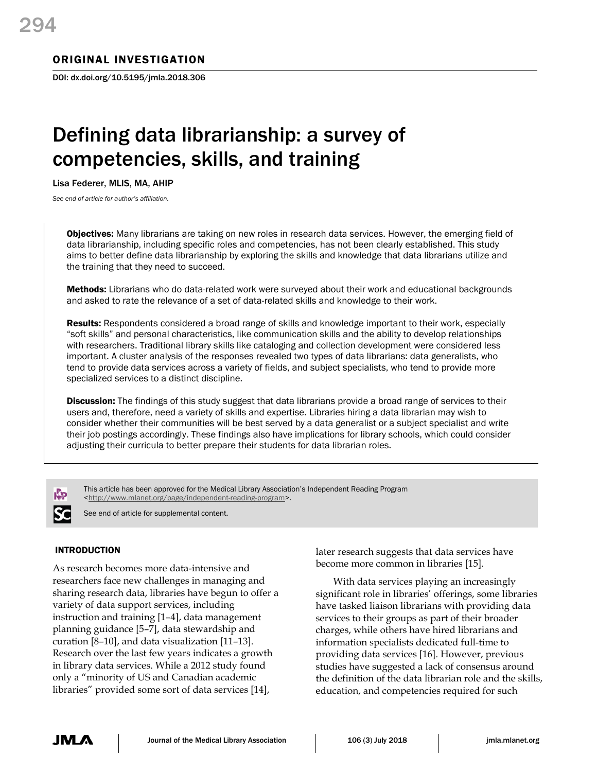## ORIGINAL INVESTIGATION

DOI: dx.doi.org/10.5195/jmla.2018.306

# Defining data librarianship: a survey of competencies, skills, and training

Lisa Federer, MLIS, MA, AHIP

*See end of article for author's affiliation.*

**Objectives:** Many librarians are taking on new roles in research data services. However, the emerging field of data librarianship, including specific roles and competencies, has not been clearly established. This study aims to better define data librarianship by exploring the skills and knowledge that data librarians utilize and the training that they need to succeed.

Methods: Librarians who do data-related work were surveyed about their work and educational backgrounds and asked to rate the relevance of a set of data-related skills and knowledge to their work.

Results: Respondents considered a broad range of skills and knowledge important to their work, especially "soft skills" and personal characteristics, like communication skills and the ability to develop relationships with researchers. Traditional library skills like cataloging and collection development were considered less important. A cluster analysis of the responses revealed two types of data librarians: data generalists, who tend to provide data services across a variety of fields, and subject specialists, who tend to provide more specialized services to a distinct discipline.

**Discussion:** The findings of this study suggest that data librarians provide a broad range of services to their users and, therefore, need a variety of skills and expertise. Libraries hiring a data librarian may wish to consider whether their communities will be best served by a data generalist or a subject specialist and write their job postings accordingly. These findings also have implications for library schools, which could consider adjusting their curricula to better prepare their students for data librarian roles.

This article has been approved for the Medical Library Association's Independent Reading Program [<http://www.mlanet.org/page/independent-reading-program>](http://www.mlanet.org/page/independent-reading-program).

See end of article for supplemental content.

## INTRODUCTION

As research becomes more data-intensive and researchers face new challenges in managing and sharing research data, libraries have begun to offer a variety of data support services, including instruction and training [1–4], data management planning guidance [5–7], data stewardship and curation [8–10], and data visualization [11–13]. Research over the last few years indicates a growth in library data services. While a 2012 study found only a "minority of US and Canadian academic libraries" provided some sort of data services [14],

later research suggests that data services have become more common in libraries [15].

With data services playing an increasingly significant role in libraries' offerings, some libraries have tasked liaison librarians with providing data services to their groups as part of their broader charges, while others have hired librarians and information specialists dedicated full-time to providing data services [16]. However, previous studies have suggested a lack of consensus around the definition of the data librarian role and the skills, education, and competencies required for such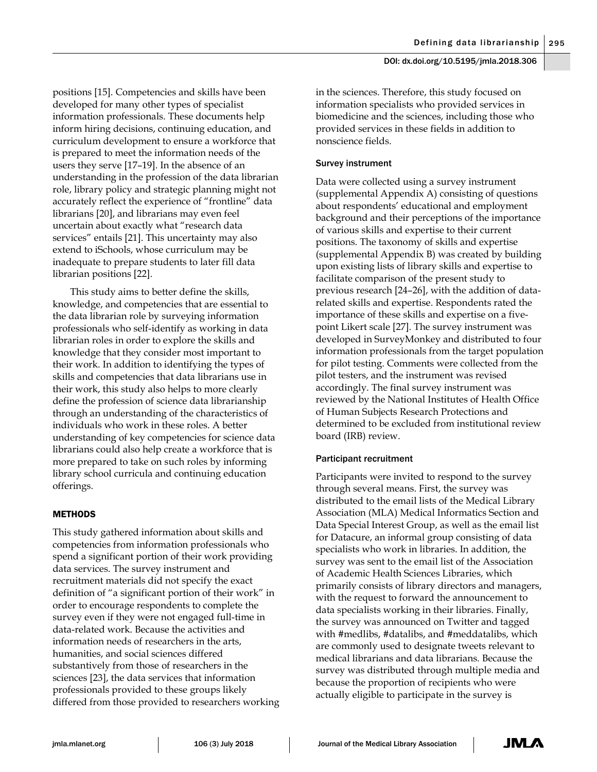positions [15]. Competencies and skills have been developed for many other types of specialist information professionals. These documents help inform hiring decisions, continuing education, and curriculum development to ensure a workforce that is prepared to meet the information needs of the users they serve [17–19]. In the absence of an understanding in the profession of the data librarian role, library policy and strategic planning might not accurately reflect the experience of "frontline" data librarians [20], and librarians may even feel uncertain about exactly what "research data services" entails [21]. This uncertainty may also extend to iSchools, whose curriculum may be inadequate to prepare students to later fill data librarian positions [22].

This study aims to better define the skills, knowledge, and competencies that are essential to the data librarian role by surveying information professionals who self-identify as working in data librarian roles in order to explore the skills and knowledge that they consider most important to their work. In addition to identifying the types of skills and competencies that data librarians use in their work, this study also helps to more clearly define the profession of science data librarianship through an understanding of the characteristics of individuals who work in these roles. A better understanding of key competencies for science data librarians could also help create a workforce that is more prepared to take on such roles by informing library school curricula and continuing education offerings.

## **METHODS**

This study gathered information about skills and competencies from information professionals who spend a significant portion of their work providing data services. The survey instrument and recruitment materials did not specify the exact definition of "a significant portion of their work" in order to encourage respondents to complete the survey even if they were not engaged full-time in data-related work. Because the activities and information needs of researchers in the arts, humanities, and social sciences differed substantively from those of researchers in the sciences [23], the data services that information professionals provided to these groups likely differed from those provided to researchers working

in the sciences. Therefore, this study focused on information specialists who provided services in biomedicine and the sciences, including those who provided services in these fields in addition to nonscience fields.

## Survey instrument

Data were collected using a survey instrument (supplemental Appendix A) consisting of questions about respondents' educational and employment background and their perceptions of the importance of various skills and expertise to their current positions. The taxonomy of skills and expertise (supplemental Appendix B) was created by building upon existing lists of library skills and expertise to facilitate comparison of the present study to previous research [24–26], with the addition of datarelated skills and expertise. Respondents rated the importance of these skills and expertise on a fivepoint Likert scale [27]. The survey instrument was developed in SurveyMonkey and distributed to four information professionals from the target population for pilot testing. Comments were collected from the pilot testers, and the instrument was revised accordingly. The final survey instrument was reviewed by the National Institutes of Health Office of Human Subjects Research Protections and determined to be excluded from institutional review board (IRB) review.

## Participant recruitment

Participants were invited to respond to the survey through several means. First, the survey was distributed to the email lists of the Medical Library Association (MLA) Medical Informatics Section and Data Special Interest Group, as well as the email list for Datacure, an informal group consisting of data specialists who work in libraries. In addition, the survey was sent to the email list of the Association of Academic Health Sciences Libraries, which primarily consists of library directors and managers, with the request to forward the announcement to data specialists working in their libraries. Finally, the survey was announced on Twitter and tagged with #medlibs, #datalibs, and #meddatalibs, which are commonly used to designate tweets relevant to medical librarians and data librarians. Because the survey was distributed through multiple media and because the proportion of recipients who were actually eligible to participate in the survey is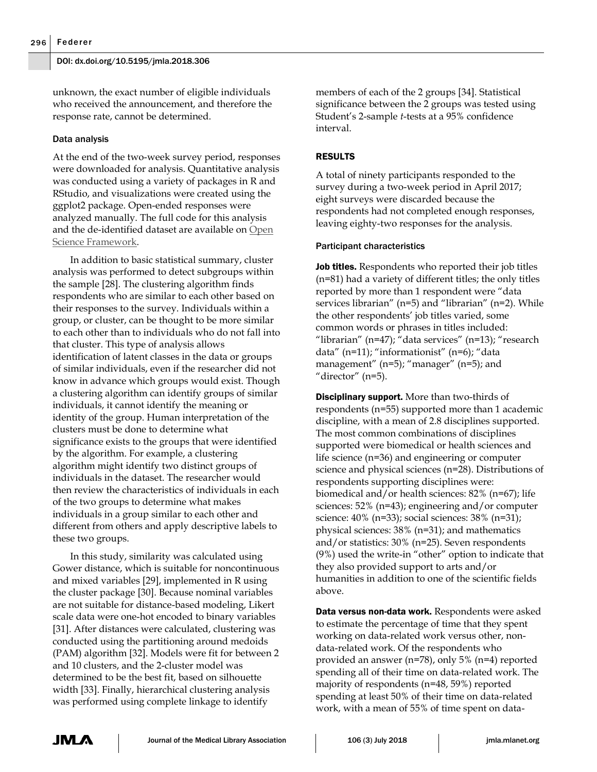unknown, the exact number of eligible individuals who received the announcement, and therefore the response rate, cannot be determined.

## Data analysis

At the end of the two-week survey period, responses were downloaded for analysis. Quantitative analysis was conducted using a variety of packages in R and RStudio, and visualizations were created using the ggplot2 package. Open-ended responses were analyzed manually. The full code for this analysis and the de-identified dataset are available on [Open](https://osf.io/zafr6/)  [Science Framework.](https://osf.io/zafr6/)

In addition to basic statistical summary, cluster analysis was performed to detect subgroups within the sample [28]. The clustering algorithm finds respondents who are similar to each other based on their responses to the survey. Individuals within a group, or cluster, can be thought to be more similar to each other than to individuals who do not fall into that cluster. This type of analysis allows identification of latent classes in the data or groups of similar individuals, even if the researcher did not know in advance which groups would exist. Though a clustering algorithm can identify groups of similar individuals, it cannot identify the meaning or identity of the group. Human interpretation of the clusters must be done to determine what significance exists to the groups that were identified by the algorithm. For example, a clustering algorithm might identify two distinct groups of individuals in the dataset. The researcher would then review the characteristics of individuals in each of the two groups to determine what makes individuals in a group similar to each other and different from others and apply descriptive labels to these two groups.

In this study, similarity was calculated using Gower distance, which is suitable for noncontinuous and mixed variables [29], implemented in R using the cluster package [30]. Because nominal variables are not suitable for distance-based modeling, Likert scale data were one-hot encoded to binary variables [31]. After distances were calculated, clustering was conducted using the partitioning around medoids (PAM) algorithm [32]. Models were fit for between 2 and 10 clusters, and the 2-cluster model was determined to be the best fit, based on silhouette width [33]. Finally, hierarchical clustering analysis was performed using complete linkage to identify

members of each of the 2 groups [34]. Statistical significance between the 2 groups was tested using Student's 2-sample *t*-tests at a 95% confidence interval.

## RESULTS

A total of ninety participants responded to the survey during a two-week period in April 2017; eight surveys were discarded because the respondents had not completed enough responses, leaving eighty-two responses for the analysis.

#### Participant characteristics

Job titles. Respondents who reported their job titles (n=81) had a variety of different titles; the only titles reported by more than 1 respondent were "data services librarian" (n=5) and "librarian" (n=2). While the other respondents' job titles varied, some common words or phrases in titles included: "librarian" (n=47); "data services" (n=13); "research data" (n=11); "informationist" (n=6); "data management" (n=5); "manager" (n=5); and "director"  $(n=5)$ .

**Disciplinary support.** More than two-thirds of respondents (n=55) supported more than 1 academic discipline, with a mean of 2.8 disciplines supported. The most common combinations of disciplines supported were biomedical or health sciences and life science (n=36) and engineering or computer science and physical sciences (n=28). Distributions of respondents supporting disciplines were: biomedical and/or health sciences: 82% (n=67); life sciences: 52% (n=43); engineering and/or computer science: 40% (n=33); social sciences: 38% (n=31); physical sciences: 38% (n=31); and mathematics and/or statistics: 30% (n=25). Seven respondents (9%) used the write-in "other" option to indicate that they also provided support to arts and/or humanities in addition to one of the scientific fields above.

Data versus non-data work. Respondents were asked to estimate the percentage of time that they spent working on data-related work versus other, nondata-related work. Of the respondents who provided an answer (n=78), only 5% (n=4) reported spending all of their time on data-related work. The majority of respondents (n=48, 59%) reported spending at least 50% of their time on data-related work, with a mean of 55% of time spent on data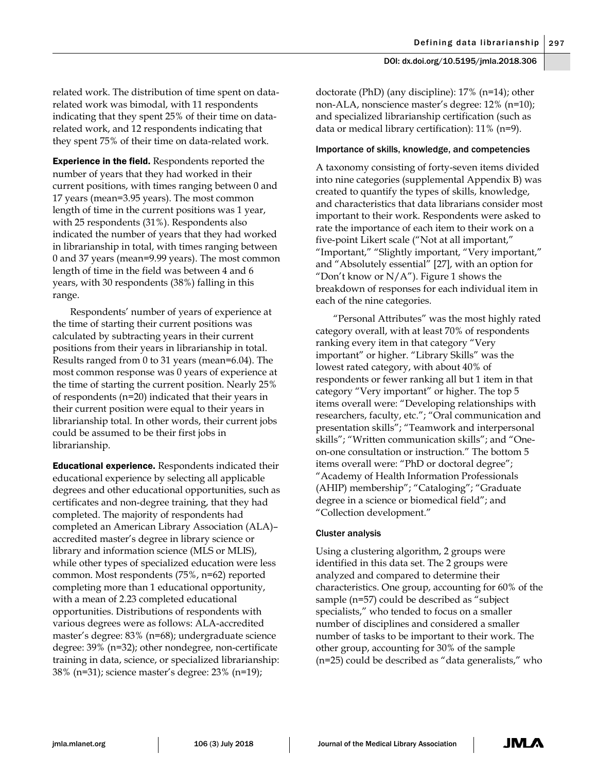related work. The distribution of time spent on datarelated work was bimodal, with 11 respondents indicating that they spent 25% of their time on datarelated work, and 12 respondents indicating that they spent 75% of their time on data-related work.

Experience in the field. Respondents reported the number of years that they had worked in their current positions, with times ranging between 0 and 17 years (mean=3.95 years). The most common length of time in the current positions was 1 year, with 25 respondents (31%). Respondents also indicated the number of years that they had worked in librarianship in total, with times ranging between 0 and 37 years (mean=9.99 years). The most common length of time in the field was between 4 and 6 years, with 30 respondents (38%) falling in this range.

Respondents' number of years of experience at the time of starting their current positions was calculated by subtracting years in their current positions from their years in librarianship in total. Results ranged from 0 to 31 years (mean=6.04). The most common response was 0 years of experience at the time of starting the current position. Nearly 25% of respondents (n=20) indicated that their years in their current position were equal to their years in librarianship total. In other words, their current jobs could be assumed to be their first jobs in librarianship.

**Educational experience.** Respondents indicated their educational experience by selecting all applicable degrees and other educational opportunities, such as certificates and non-degree training, that they had completed. The majority of respondents had completed an American Library Association (ALA)– accredited master's degree in library science or library and information science (MLS or MLIS), while other types of specialized education were less common. Most respondents (75%, n=62) reported completing more than 1 educational opportunity, with a mean of 2.23 completed educational opportunities. Distributions of respondents with various degrees were as follows: ALA-accredited master's degree: 83% (n=68); undergraduate science degree: 39% (n=32); other nondegree, non-certificate training in data, science, or specialized librarianship: 38% (n=31); science master's degree: 23% (n=19);

doctorate (PhD) (any discipline): 17% (n=14); other non-ALA, nonscience master's degree: 12% (n=10); and specialized librarianship certification (such as data or medical library certification): 11% (n=9).

#### Importance of skills, knowledge, and competencies

A taxonomy consisting of forty-seven items divided into nine categories (supplemental Appendix B) was created to quantify the types of skills, knowledge, and characteristics that data librarians consider most important to their work. Respondents were asked to rate the importance of each item to their work on a five-point Likert scale ("Not at all important," "Important," "Slightly important, "Very important," and "Absolutely essential" [27], with an option for "Don't know or  $N/A$ "). Figure 1 shows the breakdown of responses for each individual item in each of the nine categories.

"Personal Attributes" was the most highly rated category overall, with at least 70% of respondents ranking every item in that category "Very important" or higher. "Library Skills" was the lowest rated category, with about 40% of respondents or fewer ranking all but 1 item in that category "Very important" or higher. The top 5 items overall were: "Developing relationships with researchers, faculty, etc."; "Oral communication and presentation skills"; "Teamwork and interpersonal skills"; "Written communication skills"; and "Oneon-one consultation or instruction." The bottom 5 items overall were: "PhD or doctoral degree"; "Academy of Health Information Professionals (AHIP) membership"; "Cataloging"; "Graduate degree in a science or biomedical field"; and "Collection development."

#### Cluster analysis

Using a clustering algorithm, 2 groups were identified in this data set. The 2 groups were analyzed and compared to determine their characteristics. One group, accounting for 60% of the sample (n=57) could be described as "subject specialists," who tended to focus on a smaller number of disciplines and considered a smaller number of tasks to be important to their work. The other group, accounting for 30% of the sample (n=25) could be described as "data generalists," who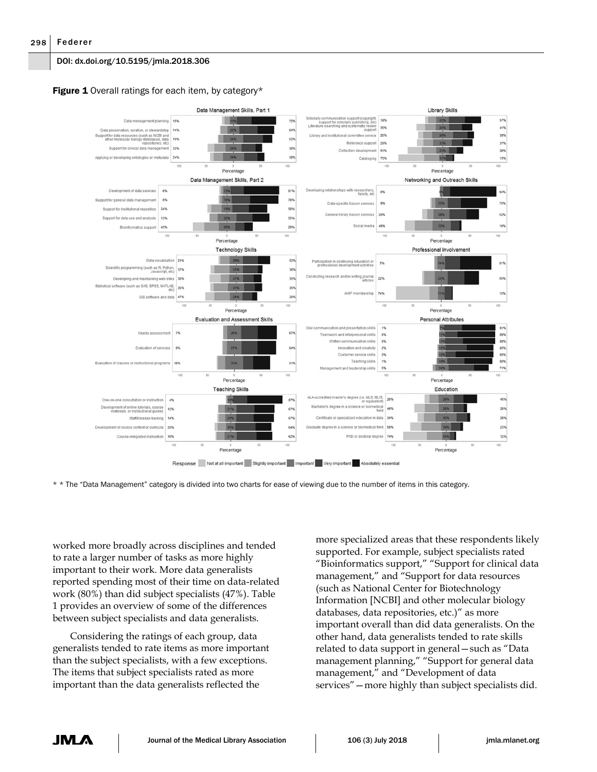## Figure 1 Overall ratings for each item, by category\*



\* \* The "Data Management" category is divided into two charts for ease of viewing due to the number of items in this category.

worked more broadly across disciplines and tended to rate a larger number of tasks as more highly important to their work. More data generalists reported spending most of their time on data-related work (80%) than did subject specialists (47%). Table 1 provides an overview of some of the differences between subject specialists and data generalists.

Considering the ratings of each group, data generalists tended to rate items as more important than the subject specialists, with a few exceptions. The items that subject specialists rated as more important than the data generalists reflected the

more specialized areas that these respondents likely supported. For example, subject specialists rated "Bioinformatics support," "Support for clinical data management," and "Support for data resources (such as National Center for Biotechnology Information [NCBI] and other molecular biology databases, data repositories, etc.)" as more important overall than did data generalists. On the other hand, data generalists tended to rate skills related to data support in general—such as "Data management planning," "Support for general data management," and "Development of data services"—more highly than subject specialists did.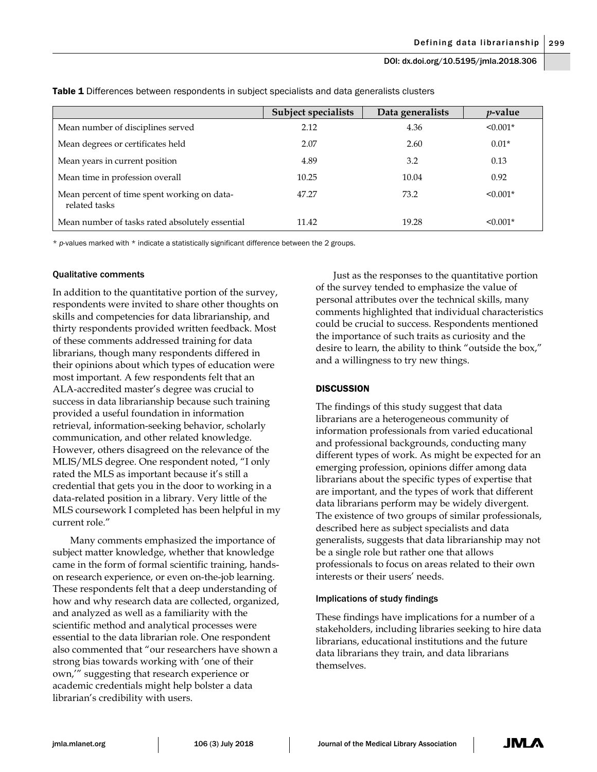|                                                              | <b>Subject specialists</b> | Data generalists | <i>v</i> -value |
|--------------------------------------------------------------|----------------------------|------------------|-----------------|
| Mean number of disciplines served                            | 2.12                       | 4.36             | $\leq 0.001*$   |
| Mean degrees or certificates held                            | 2.07                       | 2.60             | $0.01*$         |
| Mean years in current position                               | 4.89                       | 3.2              | 0.13            |
| Mean time in profession overall                              | 10.25                      | 10.04            | 0.92            |
| Mean percent of time spent working on data-<br>related tasks | 47.27                      | 73.2             | $< 0.001*$      |
| Mean number of tasks rated absolutely essential              | 11.42                      | 19.28            | $\leq 0.001*$   |

Table 1 Differences between respondents in subject specialists and data generalists clusters

\* *p*-values marked with \* indicate a statistically significant difference between the 2 groups.

#### Qualitative comments

In addition to the quantitative portion of the survey, respondents were invited to share other thoughts on skills and competencies for data librarianship, and thirty respondents provided written feedback. Most of these comments addressed training for data librarians, though many respondents differed in their opinions about which types of education were most important. A few respondents felt that an ALA-accredited master's degree was crucial to success in data librarianship because such training provided a useful foundation in information retrieval, information-seeking behavior, scholarly communication, and other related knowledge. However, others disagreed on the relevance of the MLIS/MLS degree. One respondent noted, "I only rated the MLS as important because it's still a credential that gets you in the door to working in a data-related position in a library. Very little of the MLS coursework I completed has been helpful in my current role."

Many comments emphasized the importance of subject matter knowledge, whether that knowledge came in the form of formal scientific training, handson research experience, or even on-the-job learning. These respondents felt that a deep understanding of how and why research data are collected, organized, and analyzed as well as a familiarity with the scientific method and analytical processes were essential to the data librarian role. One respondent also commented that "our researchers have shown a strong bias towards working with 'one of their own,'" suggesting that research experience or academic credentials might help bolster a data librarian's credibility with users.

Just as the responses to the quantitative portion of the survey tended to emphasize the value of personal attributes over the technical skills, many comments highlighted that individual characteristics could be crucial to success. Respondents mentioned the importance of such traits as curiosity and the desire to learn, the ability to think "outside the box," and a willingness to try new things.

### **DISCUSSION**

The findings of this study suggest that data librarians are a heterogeneous community of information professionals from varied educational and professional backgrounds, conducting many different types of work. As might be expected for an emerging profession, opinions differ among data librarians about the specific types of expertise that are important, and the types of work that different data librarians perform may be widely divergent. The existence of two groups of similar professionals, described here as subject specialists and data generalists, suggests that data librarianship may not be a single role but rather one that allows professionals to focus on areas related to their own interests or their users' needs.

#### Implications of study findings

These findings have implications for a number of a stakeholders, including libraries seeking to hire data librarians, educational institutions and the future data librarians they train, and data librarians themselves.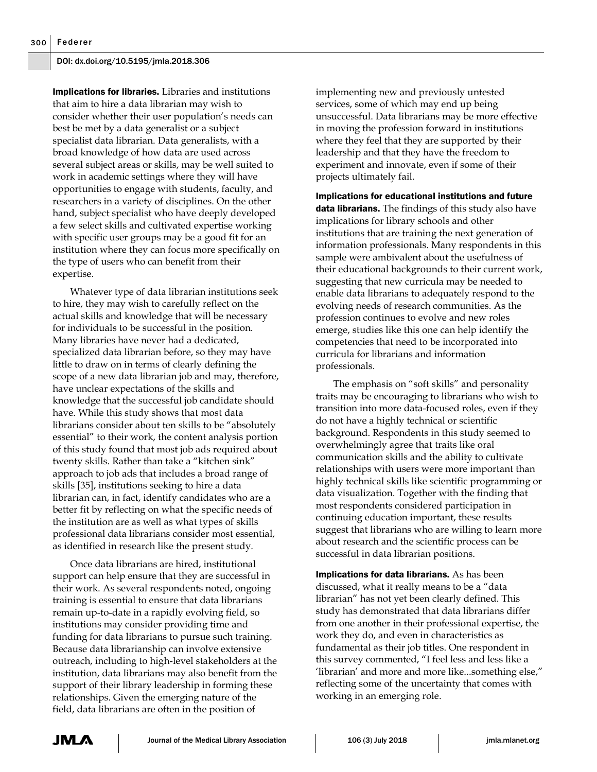Implications for libraries. Libraries and institutions that aim to hire a data librarian may wish to consider whether their user population's needs can best be met by a data generalist or a subject specialist data librarian. Data generalists, with a broad knowledge of how data are used across several subject areas or skills, may be well suited to work in academic settings where they will have opportunities to engage with students, faculty, and researchers in a variety of disciplines. On the other hand, subject specialist who have deeply developed a few select skills and cultivated expertise working with specific user groups may be a good fit for an institution where they can focus more specifically on the type of users who can benefit from their expertise.

Whatever type of data librarian institutions seek to hire, they may wish to carefully reflect on the actual skills and knowledge that will be necessary for individuals to be successful in the position. Many libraries have never had a dedicated, specialized data librarian before, so they may have little to draw on in terms of clearly defining the scope of a new data librarian job and may, therefore, have unclear expectations of the skills and knowledge that the successful job candidate should have. While this study shows that most data librarians consider about ten skills to be "absolutely essential" to their work, the content analysis portion of this study found that most job ads required about twenty skills. Rather than take a "kitchen sink" approach to job ads that includes a broad range of skills [35], institutions seeking to hire a data librarian can, in fact, identify candidates who are a better fit by reflecting on what the specific needs of the institution are as well as what types of skills professional data librarians consider most essential, as identified in research like the present study.

Once data librarians are hired, institutional support can help ensure that they are successful in their work. As several respondents noted, ongoing training is essential to ensure that data librarians remain up-to-date in a rapidly evolving field, so institutions may consider providing time and funding for data librarians to pursue such training. Because data librarianship can involve extensive outreach, including to high-level stakeholders at the institution, data librarians may also benefit from the support of their library leadership in forming these relationships. Given the emerging nature of the field, data librarians are often in the position of

implementing new and previously untested services, some of which may end up being unsuccessful. Data librarians may be more effective in moving the profession forward in institutions where they feel that they are supported by their leadership and that they have the freedom to experiment and innovate, even if some of their projects ultimately fail.

Implications for educational institutions and future data librarians. The findings of this study also have implications for library schools and other institutions that are training the next generation of information professionals. Many respondents in this sample were ambivalent about the usefulness of their educational backgrounds to their current work, suggesting that new curricula may be needed to enable data librarians to adequately respond to the evolving needs of research communities. As the profession continues to evolve and new roles emerge, studies like this one can help identify the competencies that need to be incorporated into curricula for librarians and information professionals.

The emphasis on "soft skills" and personality traits may be encouraging to librarians who wish to transition into more data-focused roles, even if they do not have a highly technical or scientific background. Respondents in this study seemed to overwhelmingly agree that traits like oral communication skills and the ability to cultivate relationships with users were more important than highly technical skills like scientific programming or data visualization. Together with the finding that most respondents considered participation in continuing education important, these results suggest that librarians who are willing to learn more about research and the scientific process can be successful in data librarian positions.

Implications for data librarians. As has been discussed, what it really means to be a "data librarian" has not yet been clearly defined. This study has demonstrated that data librarians differ from one another in their professional expertise, the work they do, and even in characteristics as fundamental as their job titles. One respondent in this survey commented, "I feel less and less like a 'librarian' and more and more like...something else," reflecting some of the uncertainty that comes with working in an emerging role.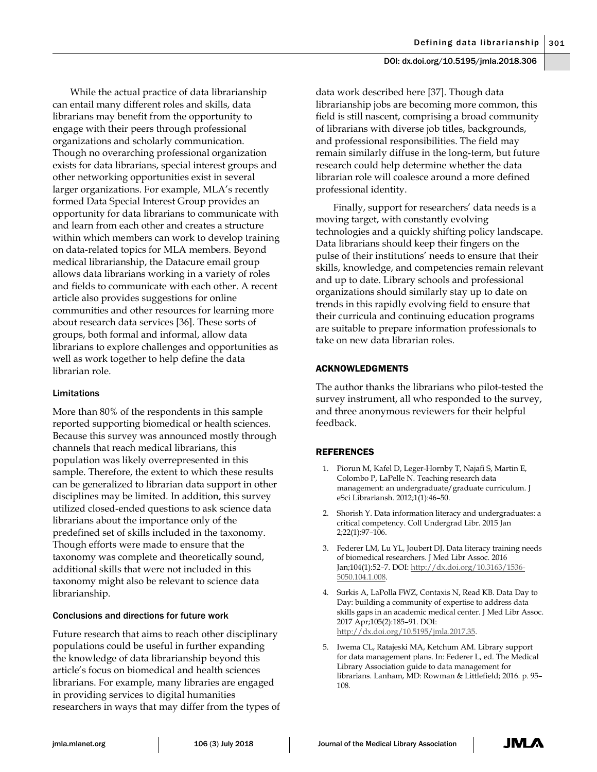While the actual practice of data librarianship can entail many different roles and skills, data librarians may benefit from the opportunity to engage with their peers through professional organizations and scholarly communication. Though no overarching professional organization exists for data librarians, special interest groups and other networking opportunities exist in several larger organizations. For example, MLA's recently formed Data Special Interest Group provides an opportunity for data librarians to communicate with and learn from each other and creates a structure within which members can work to develop training on data-related topics for MLA members. Beyond medical librarianship, the Datacure email group allows data librarians working in a variety of roles and fields to communicate with each other. A recent article also provides suggestions for online communities and other resources for learning more about research data services [36]. These sorts of groups, both formal and informal, allow data librarians to explore challenges and opportunities as well as work together to help define the data librarian role.

## Limitations

More than 80% of the respondents in this sample reported supporting biomedical or health sciences. Because this survey was announced mostly through channels that reach medical librarians, this population was likely overrepresented in this sample. Therefore, the extent to which these results can be generalized to librarian data support in other disciplines may be limited. In addition, this survey utilized closed-ended questions to ask science data librarians about the importance only of the predefined set of skills included in the taxonomy. Though efforts were made to ensure that the taxonomy was complete and theoretically sound, additional skills that were not included in this taxonomy might also be relevant to science data librarianship.

#### Conclusions and directions for future work

Future research that aims to reach other disciplinary populations could be useful in further expanding the knowledge of data librarianship beyond this article's focus on biomedical and health sciences librarians. For example, many libraries are engaged in providing services to digital humanities researchers in ways that may differ from the types of

data work described here [37]. Though data librarianship jobs are becoming more common, this field is still nascent, comprising a broad community of librarians with diverse job titles, backgrounds, and professional responsibilities. The field may remain similarly diffuse in the long-term, but future research could help determine whether the data librarian role will coalesce around a more defined professional identity.

Finally, support for researchers' data needs is a moving target, with constantly evolving technologies and a quickly shifting policy landscape. Data librarians should keep their fingers on the pulse of their institutions' needs to ensure that their skills, knowledge, and competencies remain relevant and up to date. Library schools and professional organizations should similarly stay up to date on trends in this rapidly evolving field to ensure that their curricula and continuing education programs are suitable to prepare information professionals to take on new data librarian roles.

## ACKNOWLEDGMENTS

The author thanks the librarians who pilot-tested the survey instrument, all who responded to the survey, and three anonymous reviewers for their helpful feedback.

#### **REFERENCES**

- 1. Piorun M, Kafel D, Leger-Hornby T, Najafi S, Martin E, Colombo P, LaPelle N. Teaching research data management: an undergraduate/graduate curriculum. J eSci Librariansh. 2012;1(1):46–50.
- 2. Shorish Y. Data information literacy and undergraduates: a critical competency. Coll Undergrad Libr. 2015 Jan 2;22(1):97–106.
- 3. Federer LM, Lu YL, Joubert DJ. Data literacy training needs of biomedical researchers. J Med Libr Assoc. 2016 Jan;104(1):52–7. DOI[: http://dx.doi.org/10.3163/1536-](http://dx.doi.org/10.3163/1536-5050.104.1.008) [5050.104.1.008.](http://dx.doi.org/10.3163/1536-5050.104.1.008)
- 4. Surkis A, LaPolla FWZ, Contaxis N, Read KB. Data Day to Day: building a community of expertise to address data skills gaps in an academic medical center. J Med Libr Assoc. 2017 Apr;105(2):185–91. DOI: [http://dx.doi.org/10.5195/jmla.2017.35.](http://dx.doi.org/10.5195/jmla.2017.35)
- 5. Iwema CL, Ratajeski MA, Ketchum AM. Library support for data management plans. In: Federer L, ed. The Medical Library Association guide to data management for librarians. Lanham, MD: Rowman & Littlefield; 2016. p. 95– 108.

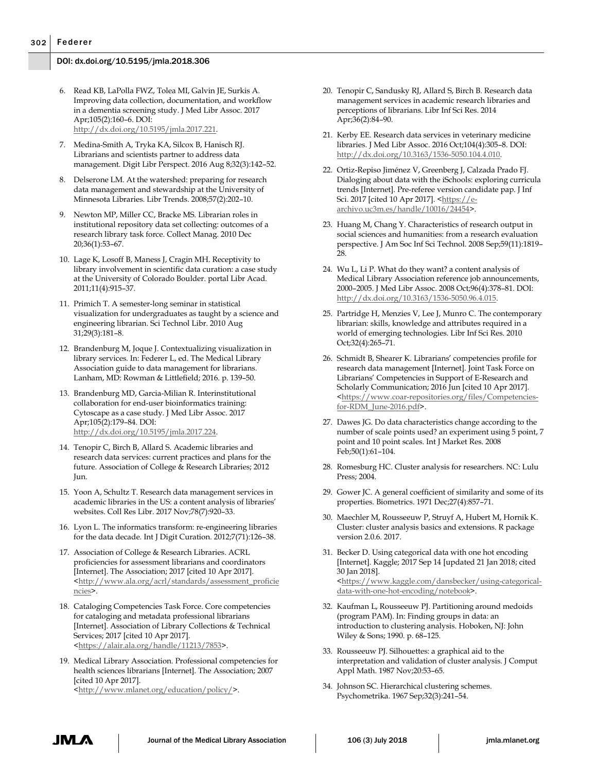- 6. Read KB, LaPolla FWZ, Tolea MI, Galvin JE, Surkis A. Improving data collection, documentation, and workflow in a dementia screening study. J Med Libr Assoc. 2017 Apr;105(2):160–6. DOI: [http://dx.doi.org/10.5195/jmla.2017.221.](http://dx.doi.org/10.5195/jmla.2017.221)
- 7. Medina-Smith A, Tryka KA, Silcox B, Hanisch RJ. Librarians and scientists partner to address data management. Digit Libr Perspect. 2016 Aug 8;32(3):142–52.
- 8. Delserone LM. At the watershed: preparing for research data management and stewardship at the University of Minnesota Libraries. Libr Trends. 2008;57(2):202–10.
- 9. Newton MP, Miller CC, Bracke MS. Librarian roles in institutional repository data set collecting: outcomes of a research library task force. Collect Manag. 2010 Dec 20;36(1):53–67.
- 10. Lage K, Losoff B, Maness J, Cragin MH. Receptivity to library involvement in scientific data curation: a case study at the University of Colorado Boulder. portal Libr Acad. 2011;11(4):915–37.
- 11. Primich T. A semester-long seminar in statistical visualization for undergraduates as taught by a science and engineering librarian. Sci Technol Libr. 2010 Aug 31;29(3):181–8.
- 12. Brandenburg M, Joque J. Contextualizing visualization in library services. In: Federer L, ed. The Medical Library Association guide to data management for librarians. Lanham, MD: Rowman & Littlefield; 2016. p. 139–50.
- 13. Brandenburg MD, Garcia-Milian R. Interinstitutional collaboration for end-user bioinformatics training: Cytoscape as a case study. J Med Libr Assoc. 2017 Apr;105(2):179–84. DOI: [http://dx.doi.org/10.5195/jmla.2017.224.](http://dx.doi.org/10.5195/jmla.2017.224)
- 14. Tenopir C, Birch B, Allard S. Academic libraries and research data services: current practices and plans for the future. Association of College & Research Libraries; 2012 Jun.
- 15. Yoon A, Schultz T. Research data management services in academic libraries in the US: a content analysis of libraries' websites. Coll Res Libr. 2017 Nov;78(7):920–33.
- 16. Lyon L. The informatics transform: re-engineering libraries for the data decade. Int J Digit Curation. 2012;7(71):126–38.
- 17. Association of College & Research Libraries. ACRL proficiencies for assessment librarians and coordinators [Internet]. The Association; 2017 [cited 10 Apr 2017]. [<http://www.ala.org/acrl/standards/assessment\\_proficie](http://www.ala.org/acrl/standards/assessment_proficiencies) [ncies>](http://www.ala.org/acrl/standards/assessment_proficiencies).
- 18. Cataloging Competencies Task Force. Core competencies for cataloging and metadata professional librarians [Internet]. Association of Library Collections & Technical Services; 2017 [cited 10 Apr 2017]. [<https://alair.ala.org/handle/11213/7853>](https://alair.ala.org/handle/11213/7853).
- 19. Medical Library Association. Professional competencies for health sciences librarians [Internet]. The Association; 2007 [cited 10 Apr 2017]. [<http://www.mlanet.org/education/policy/>](http://www.mlanet.org/education/policy/).
- 20. Tenopir C, Sandusky RJ, Allard S, Birch B. Research data management services in academic research libraries and perceptions of librarians. Libr Inf Sci Res. 2014 Apr;36(2):84–90.
- 21. Kerby EE. Research data services in veterinary medicine libraries. J Med Libr Assoc. 2016 Oct;104(4):305–8. DOI: [http://dx.doi.org/10.3163/1536-5050.104.4.010.](http://dx.doi.org/10.3163/1536-5050.104.4.010)
- 22. Ortiz-Repiso Jiménez V, Greenberg J, Calzada Prado FJ. Dialoging about data with the iSchools: exploring curricula trends [Internet]. Pre-referee version candidate pap. J Inf Sci. 2017 [cited 10 Apr 2017]. [<https://e](https://e-archivo.uc3m.es/handle/10016/24454)[archivo.uc3m.es/handle/10016/24454>](https://e-archivo.uc3m.es/handle/10016/24454).
- 23. Huang M, Chang Y. Characteristics of research output in social sciences and humanities: from a research evaluation perspective. J Am Soc Inf Sci Technol. 2008 Sep;59(11):1819– 28.
- 24. Wu L, Li P. What do they want? a content analysis of Medical Library Association reference job announcements, 2000–2005. J Med Libr Assoc. 2008 Oct;96(4):378–81. DOI: [http://dx.doi.org/10.3163/1536-5050.96.4.015.](http://dx.doi.org/10.3163/1536-5050.96.4.015)
- 25. Partridge H, Menzies V, Lee J, Munro C. The contemporary librarian: skills, knowledge and attributes required in a world of emerging technologies. Libr Inf Sci Res. 2010 Oct;32(4):265–71.
- 26. Schmidt B, Shearer K. Librarians' competencies profile for research data management [Internet]. Joint Task Force on Librarians' Competencies in Support of E-Research and Scholarly Communication; 2016 Jun [cited 10 Apr 2017]. [<https://www.coar-repositories.org/files/Competencies](https://www.coar-repositories.org/files/Competencies-for-RDM_June-2016.pdf)[for-RDM\\_June-2016.pdf>](https://www.coar-repositories.org/files/Competencies-for-RDM_June-2016.pdf).
- 27. Dawes JG. Do data characteristics change according to the number of scale points used? an experiment using 5 point, 7 point and 10 point scales. Int J Market Res. 2008 Feb;50(1):61–104.
- 28. Romesburg HC. Cluster analysis for researchers. NC: Lulu Press; 2004.
- 29. Gower JC. A general coefficient of similarity and some of its properties. Biometrics. 1971 Dec;27(4):857–71.
- 30. Maechler M, Rousseeuw P, Struyf A, Hubert M, Hornik K. Cluster: cluster analysis basics and extensions. R package version 2.0.6. 2017.
- 31. Becker D. Using categorical data with one hot encoding [Internet]. Kaggle; 2017 Sep 14 [updated 21 Jan 2018; cited 30 Jan 2018]. [<https://www.kaggle.com/dansbecker/using-categorical](https://www.kaggle.com/dansbecker/using-categorical-data-with-one-hot-encoding/notebook)[data-with-one-hot-encoding/noteboo](https://www.kaggle.com/dansbecker/using-categorical-data-with-one-hot-encoding/notebook)k>.
- 32. Kaufman L, Rousseeuw PJ. Partitioning around medoids (program PAM). In: Finding groups in data: an introduction to clustering analysis. Hoboken, NJ: John Wiley & Sons; 1990. p. 68–125.
- 33. Rousseeuw PJ. Silhouettes: a graphical aid to the interpretation and validation of cluster analysis. J Comput Appl Math. 1987 Nov;20:53–65.
- 34. Johnson SC. Hierarchical clustering schemes. Psychometrika. 1967 Sep;32(3):241–54.